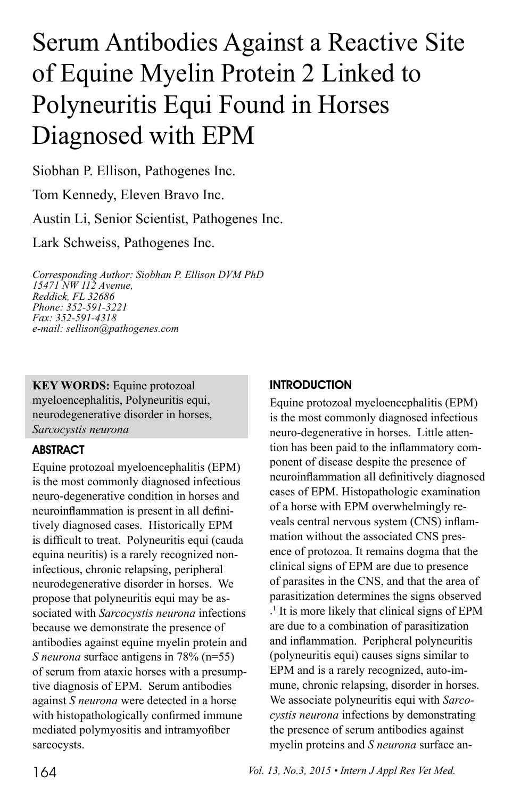# Serum Antibodies Against a Reactive Site of Equine Myelin Protein 2 Linked to Polyneuritis Equi Found in Horses Diagnosed with EPM

Siobhan P. Ellison, Pathogenes Inc.

Tom Kennedy, Eleven Bravo Inc.

Austin Li, Senior Scientist, Pathogenes Inc.

Lark Schweiss, Pathogenes Inc.

*Corresponding Author: Siobhan P. Ellison DVM PhD 15471 NW 112 Avenue, Reddick, FL 32686 Phone: 352-591-3221 Fax: 352-591-4318 e-mail: sellison@pathogenes.com*

**KEY WORDS:** Equine protozoal myeloencephalitis, Polyneuritis equi, neurodegenerative disorder in horses, *Sarcocystis neurona* 

## **ABSTRACT**

Equine protozoal myeloencephalitis (EPM) is the most commonly diagnosed infectious neuro-degenerative condition in horses and neuroinflammation is present in all definitively diagnosed cases. Historically EPM is difficult to treat. Polyneuritis equi (cauda equina neuritis) is a rarely recognized noninfectious, chronic relapsing, peripheral neurodegenerative disorder in horses. We propose that polyneuritis equi may be associated with *Sarcocystis neurona* infections because we demonstrate the presence of antibodies against equine myelin protein and *S neurona* surface antigens in 78% (n=55) of serum from ataxic horses with a presumptive diagnosis of EPM. Serum antibodies against *S neurona* were detected in a horse with histopathologically confirmed immune mediated polymyositis and intramyofiber sarcocysts.

#### **INTRODUCTION**

Equine protozoal myeloencephalitis (EPM) is the most commonly diagnosed infectious neuro-degenerative in horses. Little attention has been paid to the inflammatory component of disease despite the presence of neuroinflammation all definitively diagnosed cases of EPM. Histopathologic examination of a horse with EPM overwhelmingly reveals central nervous system (CNS) inflammation without the associated CNS presence of protozoa. It remains dogma that the clinical signs of EPM are due to presence of parasites in the CNS, and that the area of parasitization determines the signs observed . 1 It is more likely that clinical signs of EPM are due to a combination of parasitization and inflammation. Peripheral polyneuritis (polyneuritis equi) causes signs similar to EPM and is a rarely recognized, auto-immune, chronic relapsing, disorder in horses. We associate polyneuritis equi with *Sarcocystis neurona* infections by demonstrating the presence of serum antibodies against myelin proteins and *S neurona* surface an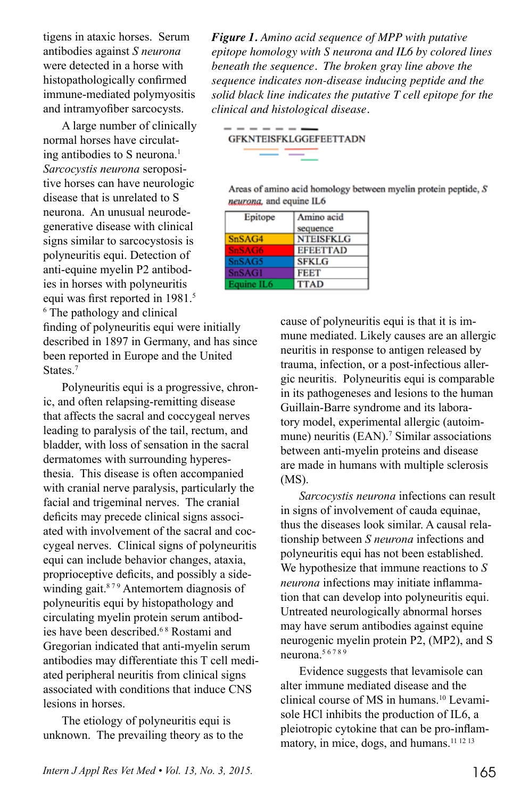tigens in ataxic horses. Serum antibodies against *S neurona*  were detected in a horse with histopathologically confirmed immune-mediated polymyositis and intramyofiber sarcocysts.

A large number of clinically normal horses have circulating antibodies to S neurona.<sup>1</sup> *Sarcocystis neurona* seropositive horses can have neurologic disease that is unrelated to S neurona. An unusual neurodegenerative disease with clinical signs similar to sarcocystosis is polyneuritis equi. Detection of anti-equine myelin P2 antibodies in horses with polyneuritis equi was first reported in 1981.<sup>5</sup> 6 The pathology and clinical

finding of polyneuritis equi were initially described in 1897 in Germany, and has since been reported in Europe and the United States<sup>7</sup>

Polyneuritis equi is a progressive, chronic, and often relapsing-remitting disease that affects the sacral and coccygeal nerves leading to paralysis of the tail, rectum, and bladder, with loss of sensation in the sacral dermatomes with surrounding hyperesthesia. This disease is often accompanied with cranial nerve paralysis, particularly the facial and trigeminal nerves. The cranial deficits may precede clinical signs associated with involvement of the sacral and coccygeal nerves. Clinical signs of polyneuritis equi can include behavior changes, ataxia, proprioceptive deficits, and possibly a sidewinding gait. $879$  Antemortem diagnosis of polyneuritis equi by histopathology and circulating myelin protein serum antibodies have been described.6 8 Rostami and Gregorian indicated that anti-myelin serum antibodies may differentiate this T cell mediated peripheral neuritis from clinical signs associated with conditions that induce CNS lesions in horses.

The etiology of polyneuritis equi is unknown. The prevailing theory as to the

*Figure 1. Amino acid sequence of MPP with putative epitope homology with S neurona and IL6 by colored lines beneath the sequence. The broken gray line above the sequence indicates non-disease inducing peptide and the solid black line indicates the putative T cell epitope for the clinical and histological disease.*

**GFKNTEISFKLGGEFEETTADN** 

- - - - -

Areas of amino acid homology between myelin protein peptide, S neurona, and equine IL6

| Epitope       | Amino acid       |
|---------------|------------------|
|               | sequence         |
| SnSAG4        | <b>NTEISFKLG</b> |
| SnSAG6        | <b>EFEETTAD</b>  |
| SnSAG5        | <b>SFKLG</b>     |
| <b>SnSAG1</b> | <b>FEET</b>      |
| Equine IL6    | <b>TTAD</b>      |

cause of polyneuritis equi is that it is immune mediated. Likely causes are an allergic neuritis in response to antigen released by trauma, infection, or a post-infectious allergic neuritis. Polyneuritis equi is comparable in its pathogeneses and lesions to the human Guillain-Barre syndrome and its laboratory model, experimental allergic (autoimmune) neuritis  $(EAN)$ .<sup>7</sup> Similar associations between anti-myelin proteins and disease are made in humans with multiple sclerosis (MS).

*Sarcocystis neurona* infections can result in signs of involvement of cauda equinae, thus the diseases look similar. A causal relationship between *S neurona* infections and polyneuritis equi has not been established. We hypothesize that immune reactions to *S neurona* infections may initiate inflammation that can develop into polyneuritis equi. Untreated neurologically abnormal horses may have serum antibodies against equine neurogenic myelin protein P2, (MP2), and S neurona.<sup>56789</sup>

Evidence suggests that levamisole can alter immune mediated disease and the clinical course of MS in humans.10 Levamisole HCl inhibits the production of IL6, a pleiotropic cytokine that can be pro-inflammatory, in mice, dogs, and humans.<sup>11 12 13</sup>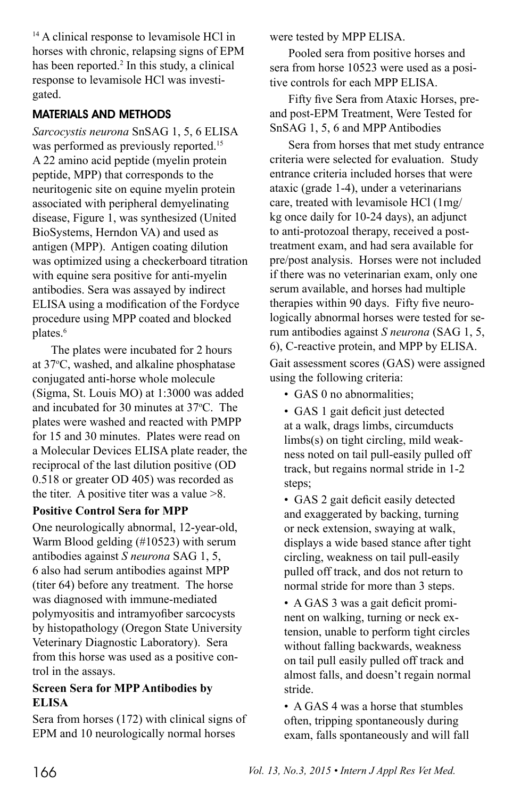<sup>14</sup> A clinical response to levamisole HCl in horses with chronic, relapsing signs of EPM has been reported.<sup>2</sup> In this study, a clinical response to levamisole HCl was investigated.

# MATERIALS AND METHODS

*Sarcocystis neurona* SnSAG 1, 5, 6 ELISA was performed as previously reported.<sup>15</sup> A 22 amino acid peptide (myelin protein peptide, MPP) that corresponds to the neuritogenic site on equine myelin protein associated with peripheral demyelinating disease, Figure 1, was synthesized (United BioSystems, Herndon VA) and used as antigen (MPP). Antigen coating dilution was optimized using a checkerboard titration with equine sera positive for anti-myelin antibodies. Sera was assayed by indirect ELISA using a modification of the Fordyce procedure using MPP coated and blocked plates.<sup>6</sup>

The plates were incubated for 2 hours at 37o C, washed, and alkaline phosphatase conjugated anti-horse whole molecule (Sigma, St. Louis MO) at 1:3000 was added and incubated for 30 minutes at 37o C. The plates were washed and reacted with PMPP for 15 and 30 minutes. Plates were read on a Molecular Devices ELISA plate reader, the reciprocal of the last dilution positive (OD 0.518 or greater OD 405) was recorded as the titer. A positive titer was a value  $>8$ .

## **Positive Control Sera for MPP**

One neurologically abnormal, 12-year-old, Warm Blood gelding (#10523) with serum antibodies against *S neurona* SAG 1, 5, 6 also had serum antibodies against MPP (titer 64) before any treatment. The horse was diagnosed with immune-mediated polymyositis and intramyofiber sarcocysts by histopathology (Oregon State University Veterinary Diagnostic Laboratory). Sera from this horse was used as a positive control in the assays.

## **Screen Sera for MPP Antibodies by ELISA**

Sera from horses (172) with clinical signs of EPM and 10 neurologically normal horses

were tested by MPP ELISA.

Pooled sera from positive horses and sera from horse 10523 were used as a positive controls for each MPP ELISA.

Fifty five Sera from Ataxic Horses, preand post-EPM Treatment, Were Tested for SnSAG 1, 5, 6 and MPP Antibodies

Sera from horses that met study entrance criteria were selected for evaluation. Study entrance criteria included horses that were ataxic (grade 1-4), under a veterinarians care, treated with levamisole HCl (1mg/ kg once daily for 10-24 days), an adjunct to anti-protozoal therapy, received a posttreatment exam, and had sera available for pre/post analysis. Horses were not included if there was no veterinarian exam, only one serum available, and horses had multiple therapies within 90 days. Fifty five neurologically abnormal horses were tested for serum antibodies against *S neurona* (SAG 1, 5, 6), C-reactive protein, and MPP by ELISA. Gait assessment scores (GAS) were assigned using the following criteria:

• GAS 0 no abnormalities;

• GAS 1 gait deficit just detected at a walk, drags limbs, circumducts limbs(s) on tight circling, mild weakness noted on tail pull-easily pulled off track, but regains normal stride in 1-2 steps;

• GAS 2 gait deficit easily detected and exaggerated by backing, turning or neck extension, swaying at walk, displays a wide based stance after tight circling, weakness on tail pull-easily pulled off track, and dos not return to normal stride for more than 3 steps.

• A GAS 3 was a gait deficit prominent on walking, turning or neck extension, unable to perform tight circles without falling backwards, weakness on tail pull easily pulled off track and almost falls, and doesn't regain normal stride.

• A GAS 4 was a horse that stumbles often, tripping spontaneously during exam, falls spontaneously and will fall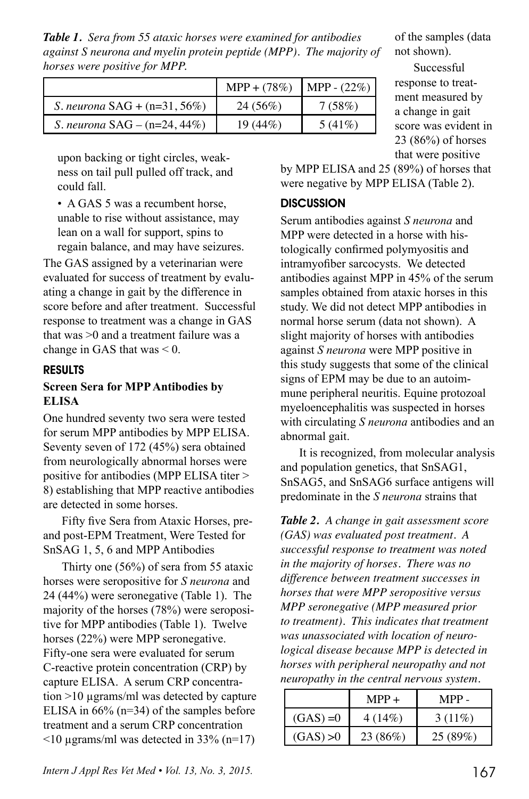*Table 1. Sera from 55 ataxic horses were examined for antibodies against S neurona and myelin protein peptide (MPP). The majority of horses were positive for MPP.* 

|                                        | MPP + $(78%)$   MPP - $(22%)$ |           |
|----------------------------------------|-------------------------------|-----------|
| <i>S. neurona</i> $SAG + (n=31, 56%)$  | 24 (56%)                      | 7(58%)    |
| <i>S. neurona</i> $SAG - (n=24, 44\%)$ | $19(44\%)$                    | $5(41\%)$ |

upon backing or tight circles, weakness on tail pull pulled off track, and could fall.

• A GAS 5 was a recumbent horse, unable to rise without assistance, may lean on a wall for support, spins to regain balance, and may have seizures.

The GAS assigned by a veterinarian were evaluated for success of treatment by evaluating a change in gait by the difference in score before and after treatment. Successful response to treatment was a change in GAS that was >0 and a treatment failure was a change in GAS that was < 0.

#### RESULTS

### **Screen Sera for MPP Antibodies by ELISA**

One hundred seventy two sera were tested for serum MPP antibodies by MPP ELISA. Seventy seven of 172 (45%) sera obtained from neurologically abnormal horses were positive for antibodies (MPP ELISA titer > 8) establishing that MPP reactive antibodies are detected in some horses.

Fifty five Sera from Ataxic Horses, preand post-EPM Treatment, Were Tested for SnSAG 1, 5, 6 and MPP Antibodies

Thirty one (56%) of sera from 55 ataxic horses were seropositive for *S neurona* and 24 (44%) were seronegative (Table 1). The majority of the horses (78%) were seropositive for MPP antibodies (Table 1). Twelve horses (22%) were MPP seronegative. Fifty-one sera were evaluated for serum C-reactive protein concentration (CRP) by capture ELISA. A serum CRP concentration >10 µgrams/ml was detected by capture ELISA in 66% (n=34) of the samples before treatment and a serum CRP concentration  $\leq$ 10 µgrams/ml was detected in 33% (n=17)

of the samples (data not shown).

Successful response to treatment measured by a change in gait score was evident in 23 (86%) of horses that were positive

by MPP ELISA and 25 (89%) of horses that were negative by MPP ELISA (Table 2).

#### **DISCUSSION**

Serum antibodies against *S neurona* and MPP were detected in a horse with histologically confirmed polymyositis and intramyofiber sarcocysts. We detected antibodies against MPP in 45% of the serum samples obtained from ataxic horses in this study. We did not detect MPP antibodies in normal horse serum (data not shown). A slight majority of horses with antibodies against *S neurona* were MPP positive in this study suggests that some of the clinical signs of EPM may be due to an autoimmune peripheral neuritis. Equine protozoal myeloencephalitis was suspected in horses with circulating *S neurona* antibodies and an abnormal gait.

It is recognized, from molecular analysis and population genetics, that SnSAG1, SnSAG5, and SnSAG6 surface antigens will predominate in the *S neurona* strains that

*Table 2. A change in gait assessment score (GAS) was evaluated post treatment. A successful response to treatment was noted in the majority of horses. There was no difference between treatment successes in horses that were MPP seropositive versus MPP seronegative (MPP measured prior to treatment). This indicates that treatment was unassociated with location of neurological disease because MPP is detected in horses with peripheral neuropathy and not neuropathy in the central nervous system.*

|             | $MPP +$ | MPP -     |
|-------------|---------|-----------|
| $(GAS) = 0$ | 4(14%)  | $3(11\%)$ |
| (GAS) > 0   | 23(86%) | 25(89%)   |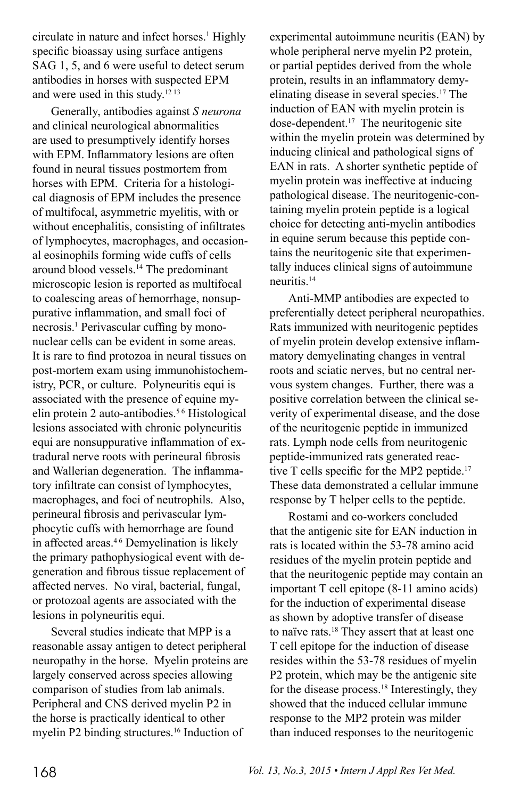circulate in nature and infect horses.<sup>1</sup> Highly specific bioassay using surface antigens SAG 1, 5, and 6 were useful to detect serum antibodies in horses with suspected EPM and were used in this study.12 13

Generally, antibodies against *S neurona*  and clinical neurological abnormalities are used to presumptively identify horses with EPM. Inflammatory lesions are often found in neural tissues postmortem from horses with EPM. Criteria for a histological diagnosis of EPM includes the presence of multifocal, asymmetric myelitis, with or without encephalitis, consisting of infiltrates of lymphocytes, macrophages, and occasional eosinophils forming wide cuffs of cells around blood vessels.14 The predominant microscopic lesion is reported as multifocal to coalescing areas of hemorrhage, nonsuppurative inflammation, and small foci of necrosis.<sup>1</sup> Perivascular cuffing by mononuclear cells can be evident in some areas. It is rare to find protozoa in neural tissues on post-mortem exam using immunohistochemistry, PCR, or culture. Polyneuritis equi is associated with the presence of equine myelin protein 2 auto-antibodies.5 6 Histological lesions associated with chronic polyneuritis equi are nonsuppurative inflammation of extradural nerve roots with perineural fibrosis and Wallerian degeneration. The inflammatory infiltrate can consist of lymphocytes, macrophages, and foci of neutrophils. Also, perineural fibrosis and perivascular lymphocytic cuffs with hemorrhage are found in affected areas.4 6 Demyelination is likely the primary pathophysiogical event with degeneration and fibrous tissue replacement of affected nerves. No viral, bacterial, fungal, or protozoal agents are associated with the lesions in polyneuritis equi.

Several studies indicate that MPP is a reasonable assay antigen to detect peripheral neuropathy in the horse. Myelin proteins are largely conserved across species allowing comparison of studies from lab animals. Peripheral and CNS derived myelin P2 in the horse is practically identical to other myelin P2 binding structures.<sup>16</sup> Induction of

experimental autoimmune neuritis (EAN) by whole peripheral nerve myelin P2 protein, or partial peptides derived from the whole protein, results in an inflammatory demyelinating disease in several species.17 The induction of EAN with myelin protein is dose-dependent.17 The neuritogenic site within the myelin protein was determined by inducing clinical and pathological signs of EAN in rats. A shorter synthetic peptide of myelin protein was ineffective at inducing pathological disease. The neuritogenic-containing myelin protein peptide is a logical choice for detecting anti-myelin antibodies in equine serum because this peptide contains the neuritogenic site that experimentally induces clinical signs of autoimmune neuritis.14

Anti-MMP antibodies are expected to preferentially detect peripheral neuropathies. Rats immunized with neuritogenic peptides of myelin protein develop extensive inflammatory demyelinating changes in ventral roots and sciatic nerves, but no central nervous system changes. Further, there was a positive correlation between the clinical severity of experimental disease, and the dose of the neuritogenic peptide in immunized rats. Lymph node cells from neuritogenic peptide-immunized rats generated reactive T cells specific for the MP2 peptide.<sup>17</sup> These data demonstrated a cellular immune response by T helper cells to the peptide.

Rostami and co-workers concluded that the antigenic site for EAN induction in rats is located within the 53-78 amino acid residues of the myelin protein peptide and that the neuritogenic peptide may contain an important T cell epitope (8-11 amino acids) for the induction of experimental disease as shown by adoptive transfer of disease to naïve rats.18 They assert that at least one T cell epitope for the induction of disease resides within the 53-78 residues of myelin P2 protein, which may be the antigenic site for the disease process.18 Interestingly, they showed that the induced cellular immune response to the MP2 protein was milder than induced responses to the neuritogenic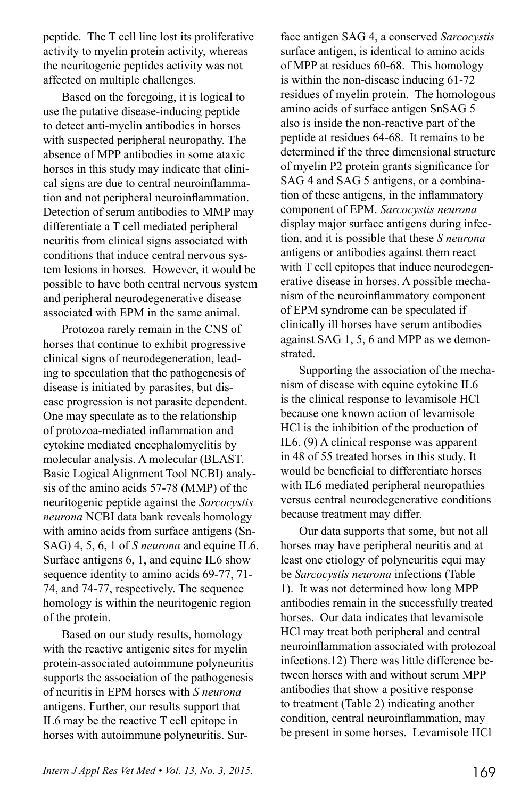peptide. The T cell line lost its proliferative activity to myelin protein activity, whereas the neuritogenic peptides activity was not affected on multiple challenges.

Based on the foregoing, it is logical to use the putative disease-inducing peptide to detect anti-myelin antibodies in horses with suspected peripheral neuropathy. The absence of MPP antibodies in some ataxic horses in this study may indicate that clinical signs are due to central neuroinflammation and not peripheral neuroinflammation. Detection of serum antibodies to MMP may differentiate a T cell mediated peripheral neuritis from clinical signs associated with conditions that induce central nervous system lesions in horses. However, it would be possible to have both central nervous system and peripheral neurodegenerative disease associated with EPM in the same animal.

Protozoa rarely remain in the CNS of horses that continue to exhibit progressive clinical signs of neurodegeneration, leading to speculation that the pathogenesis of disease is initiated by parasites, but disease progression is not parasite dependent. One may speculate as to the relationship of protozoa-mediated inflammation and cytokine mediated encephalomyelitis by molecular analysis. A molecular (BLAST, Basic Logical Alignment Tool NCBI) analysis of the amino acids 57-78 (MMP) of the neuritogenic peptide against the *Sarcocystis neurona* NCBI data bank reveals homology with amino acids from surface antigens (Sn-SAG) 4, 5, 6, 1 of *S neurona* and equine IL6. Surface antigens 6, 1, and equine IL6 show sequence identity to amino acids 69-77, 71- 74, and 74-77, respectively. The sequence homology is within the neuritogenic region of the protein.

Based on our study results, homology with the reactive antigenic sites for myelin protein-associated autoimmune polyneuritis supports the association of the pathogenesis of neuritis in EPM horses with *S neurona*  antigens. Further, our results support that IL6 may be the reactive T cell epitope in horses with autoimmune polyneuritis. Surface antigen SAG 4, a conserved *Sarcocystis* surface antigen, is identical to amino acids of MPP at residues 60-68. This homology is within the non-disease inducing 61-72 residues of myelin protein. The homologous amino acids of surface antigen SnSAG 5 also is inside the non-reactive part of the peptide at residues 64-68. It remains to be determined if the three dimensional structure of myelin P2 protein grants significance for SAG 4 and SAG 5 antigens, or a combination of these antigens, in the inflammatory component of EPM. *Sarcocystis neurona*  display major surface antigens during infection, and it is possible that these *S neurona*  antigens or antibodies against them react with T cell epitopes that induce neurodegenerative disease in horses. A possible mechanism of the neuroinflammatory component of EPM syndrome can be speculated if clinically ill horses have serum antibodies against SAG 1, 5, 6 and MPP as we demonstrated.

Supporting the association of the mechanism of disease with equine cytokine IL6 is the clinical response to levamisole HCl because one known action of levamisole HCl is the inhibition of the production of IL6. (9) A clinical response was apparent in 48 of 55 treated horses in this study. It would be beneficial to differentiate horses with IL6 mediated peripheral neuropathies versus central neurodegenerative conditions because treatment may differ.

Our data supports that some, but not all horses may have peripheral neuritis and at least one etiology of polyneuritis equi may be *Sarcocystis neurona* infections (Table 1). It was not determined how long MPP antibodies remain in the successfully treated horses. Our data indicates that levamisole HCl may treat both peripheral and central neuroinflammation associated with protozoal infections.12) There was little difference between horses with and without serum MPP antibodies that show a positive response to treatment (Table 2) indicating another condition, central neuroinflammation, may be present in some horses. Levamisole HCl